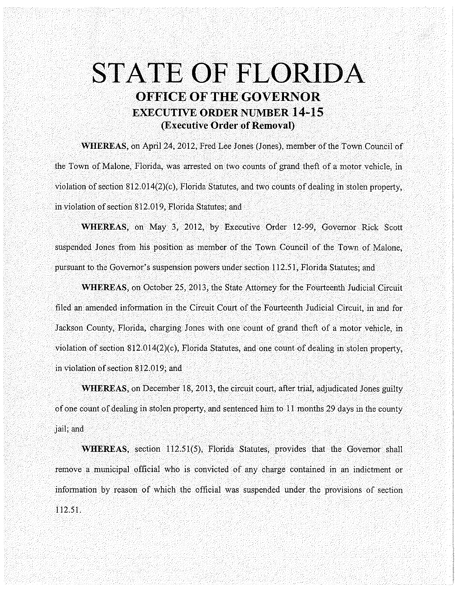# **STATE OF FLORIDA OFFICE OF THE GOVERNOR EXECUTIVE ORDER NUMBER 14-15 (Executive Order of Removal)**

**WHEREAS,** on April24, 2012, Fred Lee Jones (Jones), member of the Town Council of the Town of Malone, Florida, was arrested on two counts of grand theft of a motor vehicle, in violation of section 812.014(2)(c), Florida Statutes, and two counts of dealing in stolen property, in violation of section 812.019, Florida Statutes; and

**WHEREAS,** on May 3, 2012, by Executive Order 12-99, Governor Rick Scott suspended Jones from his position as member of the Town Council of the Town of Malone, pursuant to the Governor's suspension powers under section 112.51, Florida Statutes; and

**WHEREAS,** on October 25, 2013, the State Attorney for the Fourteenth Judicial Circuit filed an amended information in the Circuit Court of the Fourteenth Judicial Circuit, in and for Jackson County, Florida, charging Jones with one count of grand theft of a motor vehicle, in violation of section 812.014(2)(c), Florida Statutes, and one count of dealing in stolen property, in violation of section 812.019; and

**WHEREAS,** on December 18, 2013, the circuit court, after trial, adjudicated Jones guilty of one count of dealing in stolen property, and sentenced him to 11 months 29 days in the county jail; and

**WHEREAS,** section 112.51(5), Florida Statutes, provides that the Governor shall remove a municipal official who is convicted of any charge contained in an indictment or information by reason of which the official was suspended under the provisions of section 112.51.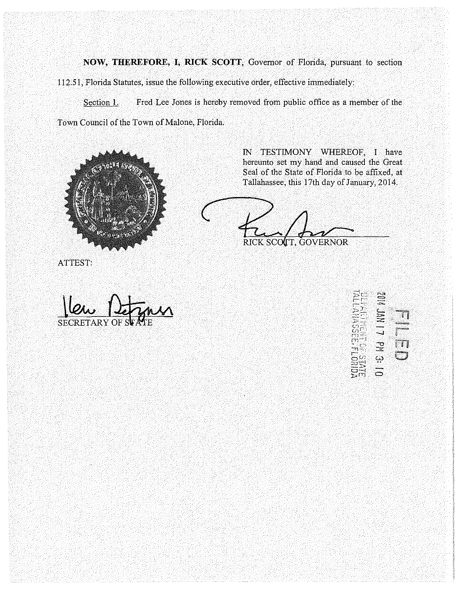**NOW, THEREFORE, I, RICK SCOTT,** Governor of Florida, pursuant to section 112.51, Florida Statutes, issue the following executive order, effective immediately:

Section 1. Fred Lee Jones is hereby removed from public office as a member of the Town Council of the Town of Malone, Florida.



IN TESTIMONY WHEREOF, I have hereunto set my hand and caused the Great Seal of the State of Florida to be affixed, at Tallahassee, this 17th day of January, 2014.

RICK SCO(TT, GOVERNOR

ATTEST:

**SECRETARY O** 

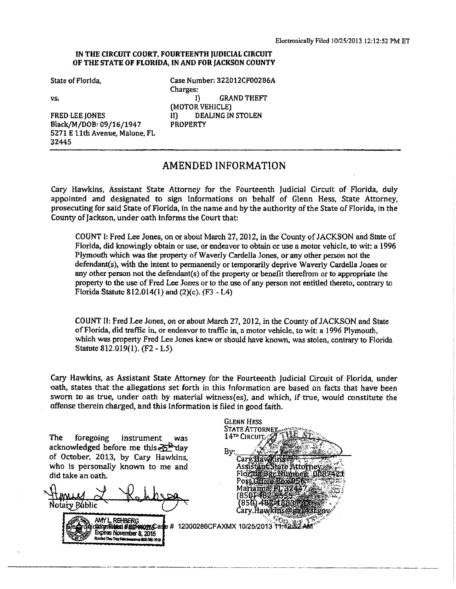## IN THE CIRCUIT COURT, FOURTEENTH JUDICIAL CIRCUIT .OF THE STATE OF FLORIDA, IN AND FOR JACKSON COUNTY

3Z445

5271 E 11th Avenue, Malone, FL

State of Florida, Case Number: 322012CF00286A Charges: vs. The contract of the contract of the contract of the contract of the contract of the contract of the contract of the contract of the contract of the contract of the contract of the contract of the contract of the contra (MOTOR VEHICLE) FRED LEE IONES II) DEALING IN STOLEN Black/M/DOB: 09/16/1947 PROPERTY

## AMENDED INFORMATION

Cary Hawkins, Assistant State Attorney for the Fourteenth judicial Circuit of Florida, duly appointed and designated to sign Informations on behalf of Glenn Hess, State Attorney, prosecuting for said State of Florida, in the name and by the authority ofthe State of Florida, in the County of jackson, under oath informs the Court that:

COUNT !: Fred Lee Jones, on or about March 27, 2012, in the County of JACKSON and State of Florida, did knowingly obtain or use, or endeavor to obtain or use a motor vehicle, to wit: a 1996 Plymouth which was the property of Waverly Cardella Jones, or any other person not the defendant(s), with the intent to permanently or temporarily deprive Waverly Cardella Jones or any other person not the defendant( $s$ ) of the property or benefit therefrom or to appropriate the property to the use of Fred Lee Jones or to the nse of any person not entitled thereto, contrary to Florida Statute  $812.014(1)$  and  $(2)(e)$ . (F3 - L4)

COUNT II: Fred Lee Jones, on or about March 27, 2012, in the County of JACKSON and State of Florida, did traffic in, or endeavor to traffic in, a motor vehicle, to wit: a I 996 Plymouth, which was property Fred Lee Jones knew or should have known, was stolen, contrary to Florida Statute 812.019(1). (F2- LS)

Cary Hawkins, as Assistant State Attorney for the Fourteenth Judicial Circuit of Florida, under oath, states that the allegations set forth in this Information are based on facts that have been sworn to as true, under oath by material witness(es), and which, if true, would constitute the offense therein charged, and this Information is filed in good faith.

The foregoing instrument acknowledged before me this  $\delta S^{\mu}$  day of October, 2013, by Cary Hawkins, who is personally known to me and did take an oath.

Notary Public

AMY L REHBERG

Expires November 8, 2015 d Timi Tion Fain immerce and SM 2014

Glenn Hess<br>State Attorni 14th Circuit. Bv Cary Haw Assistant State Attorney<br>Florid Bar Number 00 Post Office Marianne (850) 482  $850,482$ 4383. Cary.Hawkins@sa Golynistical #8B14025Case # 12000286CFAXMX 10/25/2013 11:42:52A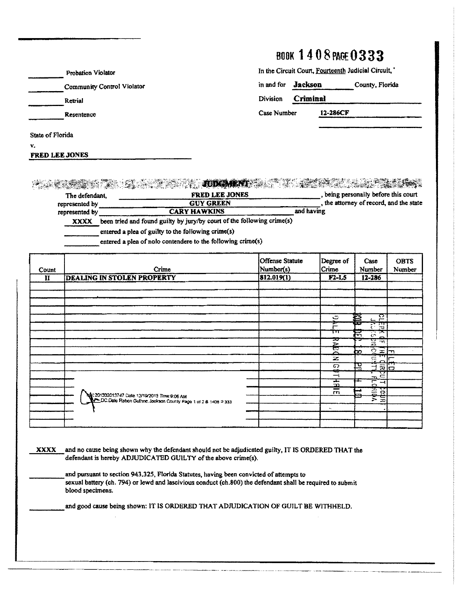## **BOOK 1408 PAGE 0333**

In the Circuit Court, Fourteenth Judicial Circuit,'

in and for **Jackson** County, Florida

Division Criminal

Case Number

12-286CF

**State of Florida** 

v.

### **FRED LEE JONES**

**Probation Violator** 

Retrial

Resentence

**Community Control Violator** 

#### $\mathcal{R}_{\mathcal{A}}$ **THE MEXICAN CONTROL NAMA**  $-1.5$  and  $\sim$ The defendant, **FRED LEE JONES** being personally before this court of record and the state  $\sim$   $\sim$

| represented by | GUY GREER                                                              | , ше впогнеу от гесого, ано ни ма |
|----------------|------------------------------------------------------------------------|-----------------------------------|
| represented by | <b>CARY HAWKINS</b>                                                    | and having                        |
| XXXX           | been tried and found guilty by jury/by court of the following crime(s) |                                   |

entered a plea of guilty to the following crime(s)

entered a plea of nolo contendere to the following crime(s)

| Count<br>$\mathbf{H}$ | Crime<br><b>DEALING IN STOLEN PROPERTY</b>                                                                      | <b>Offense</b> Statute<br>Number(s)<br>812.019(1) | Degree of<br>Crime<br><b>F2-L5</b>               | Case<br>Number<br>12-286                                           | <b>OBTS</b><br>Number |
|-----------------------|-----------------------------------------------------------------------------------------------------------------|---------------------------------------------------|--------------------------------------------------|--------------------------------------------------------------------|-----------------------|
|                       |                                                                                                                 |                                                   |                                                  |                                                                    |                       |
|                       |                                                                                                                 |                                                   | ت<br>÷.<br>i—<br>┯┯                              | 疍<br>င္ ဥ<br>ᆓ<br>स्टब्स्<br>F                                     |                       |
|                       |                                                                                                                 |                                                   | $\Xi$<br>राउ<br>$\sim$                           | $\overline{C}$<br>$\sim$<br>Ξ<br>$\overline{m}$<br>$\Omega$<br>bс. | Eh                    |
|                       |                                                                                                                 |                                                   | $\approx$<br>ဂ<br>ۇسسە<br>$\frac{1}{D}$          | ਛ<br>C <sub>1</sub><br>띧<br>희물<br>$-1$<br>ਟ<br>wery.<br>ਜ          |                       |
|                       | L: 201332013747 Date: 12/19/2013 Time:9:06 AM<br>DC: Date Rabon Guthne: Jackson County Page 1 of 2 8 1408 P 333 |                                                   | _<br>rr <sub>1</sub><br>$\overline{\phantom{a}}$ | -<br>Ξ                                                             |                       |
|                       |                                                                                                                 |                                                   |                                                  |                                                                    |                       |

and no cause being shown why the defendant should not be adjudicated guilty, IT IS ORDERED THAT the **XXXX** defendant is hereby ADJUDICATED GUILTY of the above crime(s).

and pursuant to section 943.325, Florida Statutes, having been convicted of attempts to sexual battery (ch. 794) or lewd and lascivious conduct (ch.800) the defendant shall be required to submit blood specimens.

and good cause being shown: IT IS ORDERED THAT ADJUDICATION OF GUILT BE WITHHELD.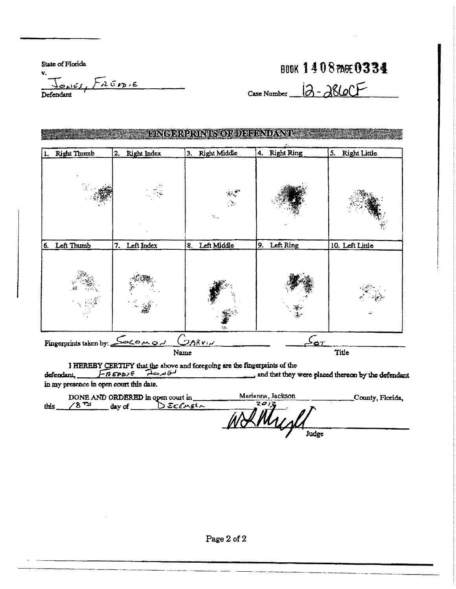State of Florida

**BUDK 1408 PAGE 0334** 

v.  $S_{\text{AIEE}}$ , FREDIE Defendant

Case Number  $12 - 28100F$ 

| 1. | <b>Right Thumb</b>                    | 2. | <b>Right Index</b> | 3. | Right Middle                                                              | 4. | <b>Right Ring</b>    | 5. | <b>Right Little</b> |
|----|---------------------------------------|----|--------------------|----|---------------------------------------------------------------------------|----|----------------------|----|---------------------|
|    | $\frac{1}{2}$                         |    |                    |    | $\mathcal{L} \in \mathbb{R}^{N^2}$<br>$\mathcal{L}_{\mathcal{A}}$<br>12.2 |    |                      |    |                     |
| 6. | Left Thumb                            | 7. | Left Index         | 8. | Left Middle                                                               | 9. | Left Ring            |    | 10. Left Little     |
|    |                                       |    |                    |    |                                                                           |    |                      |    |                     |
|    | Fingerprints taken by: <u>Socomon</u> |    |                    |    | <u>LARVIN</u>                                                             |    | .<br><del>″⊇</del> ″ |    |                     |

a a constitution of the construction of the construction of the construction of the construction of the construction of the construction of the construction of the construction of the construction of the construction of th

I HEREBY CERTIFY that the above and foregoing are the fingerprints of the nt,  $\overbrace{\qquad \qquad }$   $\overbrace{a \in \mathcal{P} \mathcal{D}}^{\mathcal{F}}$ . defendant, and that they were placed thereon by the defendant in my presence in open court this date.

|      | DONE AND ORDERED in open court in |        |                     | Marianna Jackson | County, Florida, |
|------|-----------------------------------|--------|---------------------|------------------|------------------|
| this | سہ و∠                             | day of | $\mathsf D$ Eccusen | てのに              |                  |
|      |                                   |        |                     | WANNALL          |                  |
|      |                                   |        |                     |                  | Judge            |